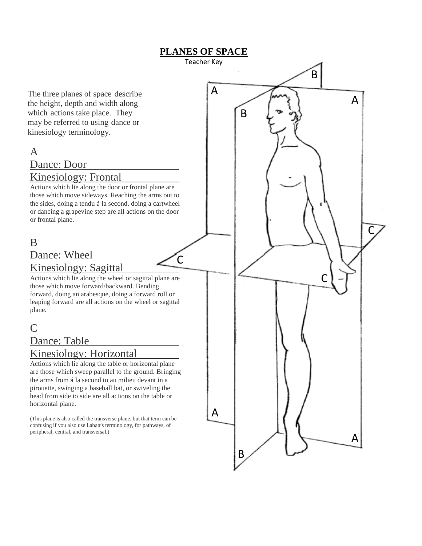